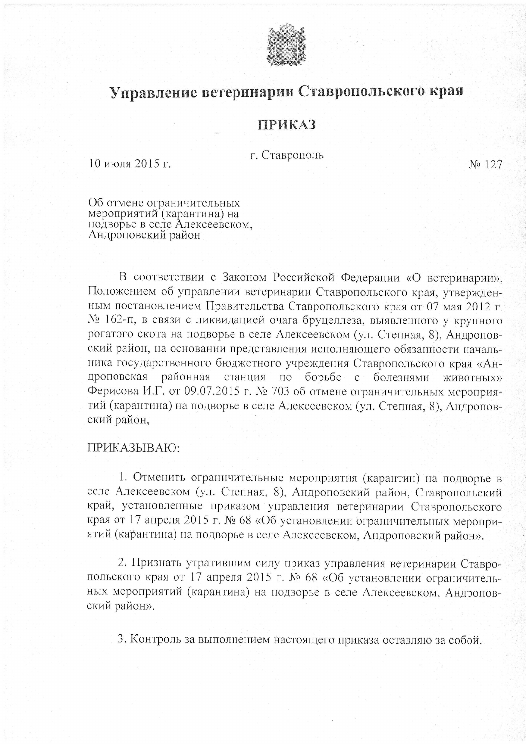

## Управление ветеринарии Ставропольского края

## **ПРИКАЗ**

г. Ставрополь

10 июля 2015 г.

No 127

Об отмене ограничительных<br>мероприятий (карантина) на<br>подворье в селе Алексеевском,<br>Андроповский район

В соответствии с Законом Российской Федерации «О ветеринарии», Положением об управлении ветеринарии Ставропольского края, утвержденным постановлением Правительства Ставропольского края от 07 мая 2012 г. № 162-п, в связи с ликвидацией очага бруцеллеза, выявленного у крупного рогатого скота на подворье в селе Алексеевском (ул. Степная, 8), Андроповский район, на основании представления исполняющего обязанности начальника государственного бюджетного учреждения Ставропольского края «Андроповская районная станция по борьбе с болезнями **ЖИВОТНЫХ»** Ферисова И.Г. от 09.07.2015 г. № 703 об отмене ограничительных мероприятий (карантина) на подворье в селе Алексеевском (ул. Степная, 8), Андроповский район,

## ПРИКАЗЫВАЮ:

1. Отменить ограничительные мероприятия (карантин) на подворье в селе Алексеевском (ул. Степная, 8), Андроповский район, Ставропольский край, установленные приказом управления ветеринарии Ставропольского края от 17 апреля 2015 г. № 68 «Об установлении ограничительных мероприятий (карантина) на подворье в селе Алексеевском, Андроповский район».

2. Признать утратившим силу приказ управления ветеринарии Ставропольского края от 17 апреля 2015 г. № 68 «Об установлении ограничительных мероприятий (карантина) на подворье в селе Алексеевском, Андроповский район».

3. Контроль за выполнением настоящего приказа оставляю за собой.